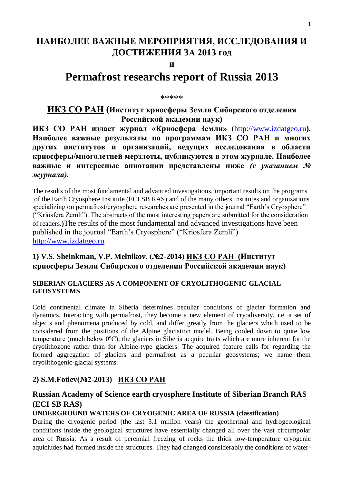# **НАИБОЛЕЕ ВАЖНЫЕ МЕРОПРИЯТИЯ, ИССЛЕДОВАНИЯ И ДОСТИЖЕНИЯ ЗА 2013 год**

### **и**

# **Permafrost researchs report of Russia 2013**

#### \*\*\*\*\*

## **ИКЗ СО РАН (Институт криосферы Земли Сибирского отделения Российской академии наук)**

**ИКЗ СО РАН издает журнал «Криосфера Земли» (**[http://www.izdatgeo.ru](http://www.izdatgeo.ru/)**). Наиболее важные результаты по программам ИКЗ СО РАН и многих других институтов и организаций, ведущих исследования в области криосферы/многолетней мерзлоты, публикуются в этом журнале. Наиболее важные и интересные аннотации представлены ниже** *(с указанием № журнала).*

The results of the most fundamental and advanced investigations, important results on the programs of the Earth Cryosphere Institute (ECI SB RAS) and of the many others Institutes and organizations specializing on permafrost/cryosphere researches are presented in the journal "Earth's Cryosphere" (―Kriosfera Zemli‖). The abstracts of the most interesting papers are submitted for the consideration of readers.**)**The results of the most fundamental and advanced investigations have been published in the journal "Earth's Cryosphere" ("Kriosfera Zemli") [http://www.izdatgeo.ru](http://www.izdatgeo.ru/)

## **1) V.S. Sheinkman, V.P. Melnikov. (№2-2014) ИКЗ СО РАН (Институт криосферы Земли Сибирского отделения Российской академии наук)**

### **SIBERIAN GLACIERS AS A COMPONENT OF CRYOLITHOGENIC-GLACIAL GEOSYSTEMS**

Cold continental climate in Siberia determines peculiar conditions of glacier formation and dynamics. Interacting with permafrost, they become a new element of cryodiversity, i.e. a set of objects and phenomena produced by cold, and differ greatly from the glaciers which used to be considered from the positions of the Alpine glaciation model. Being cooled down to quite low temperature (much below 0ºС), the glaciers in Siberia acquire traits which are more inherent for the cryolithozone rather than for Alpine-type glaciers. The acquired feature calls for regarding the formed aggregation of glaciers and permafrost as a peculiar geosystems; we name them cryolithogenic-glacial systems.

### **2) S.M.Fotiev(№2-2013) ИКЗ СО РАН**

## **Russian Academy of Science earth cryosphere Institute of Siberian Branch RAS (ECI SB RAS)**

### **UNDERGROUND WATERS OF CRYOGENIC AREA OF RUSSIA (classification)**

During the cryogenic period (the last 3.1 million years) the geothermal and hydrogeological conditions inside the geological structures have essentially changed all over the vast circumpolar area of Russia. As a result of perennial freezing of rocks the thick low-temperature cryogenic aquicludes had formed inside the structures. They had changed considerably the conditions of water-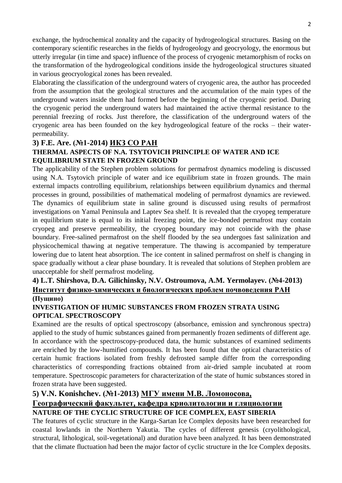exchange, the hydrochemical zonality and the capacity of hydrogeological structures. Basing on the contemporary scientific researches in the fields of hydrogeology and geocryology, the enormous but utterly irregular (in time and space) influence of the process of cryogenic metamorphism of rocks on the transformation of the hydrogeological conditions inside the hydrogeological structures situated in various geocryological zones has been revealed.

Elaborating the classification of the underground waters of cryogenic area, the author has proceeded from the assumption that the geological structures and the accumulation of the main types of the underground waters inside them had formed before the beginning of the cryogenic period. During the cryogenic period the underground waters had maintained the active thermal resistance to the perennial freezing of rocks. Just therefore, the classification of the underground waters of the cryogenic area has been founded on the key hydrogeological feature of the rocks – their waterpermeability.

### **3) F.E. Are. (№1-2014) ИКЗ СО РАН**

### **THERMAL ASPECTS OF N.A. TSYTOVICH PRINCIPLE OF WATER AND ICE EQUILIBRIUM STATE IN FROZEN GROUND**

The applicability of the Stephen problem solutions for permafrost dynamics modeling is discussed using N.A. Tsytovich principle of water and ice equilibrium state in frozen grounds. The main external impacts controlling equilibrium, relationships between equilibrium dynamics and thermal processes in ground, possibilities of mathematical modeling of permafrost dynamics are reviewed. The dynamics of equilibrium state in saline ground is discussed using results of permafrost investigations on Yamal Peninsula and Laptev Sea shelf. It is revealed that the cryopeg temperature in equilibrium state is equal to its initial freezing point, the ice-bonded permafrost may contain cryopeg and preserve permeability, the cryopeg boundary may not coincide with the phase boundary. Free-salined permafrost on the shelf flooded by the sea undergoes fast salinization and physicochemical thawing at negative temperature. The thawing is accompanied by temperature lowering due to latent heat absorption. The ice content in salined permafrost on shelf is changing in space gradually without a clear phase boundary. It is revealed that solutions of Stephen problem are unacceptable for shelf permafrost modeling.

### **4) L.T. Shirshova, D.A. Gilichinsky, N.V. Ostroumova, A.M. Yermolayev. (№4-2013) Институт физико-химических и биологических проблем почвоведения РАН (Пущино)**

### **INVESTIGATION OF HUMIC SUBSTANCES FROM FROZEN STRATA USING OPTICAL SPECTROSCOPY**

Examined are the results of optical spectroscopy (absorbance, emission and synchronous spectra) applied to the study of humic substances gained from permanently frozen sediments of different age. In accordance with the spectroscopy-produced data, the humic substances of examined sediments are enriched by the low-humified compounds. It has been found that the optical characteristics of certain humic fractions isolated from freshly defrosted sample differ from the corresponding characteristics of corresponding fractions obtained from air-dried sample incubated at room temperature. Spectroscopic parameters for characterization of the state of humic substances stored in frozen strata have been suggested*.*

### **5) V.N. Konishchev. (№1-2013) МГУ имени М.В. Ломоносова,**

### **Географический факультет, кафедра криолитологии и гляциологии NATURE OF THE CYCLIC STRUCTURE OF ICE COMPLEX, EAST SIBERIA**

The features of cyclic structure in the Karga-Sartan Ice Complex deposits have been researched for coastal lowlands in the Northern Yakutia. The cycles of different genesis (cryolithological, structural, lithological, soil-vegetational) and duration have been analyzed. It has been demonstrated that the climate fluctuation had been the major factor of cyclic structure in the Ice Complex deposits.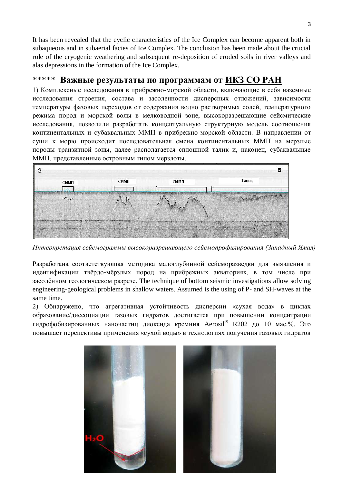It has been revealed that the cyclic characteristics of the Ice Complex can become apparent both in subaqueous and in subaerial facies of Ice Complex. The conclusion has been made about the crucial role of the cryogenic weathering and subsequent re-deposition of eroded soils in river valleys and alas depressions in the formation of the Ice Complex.

## \*\*\*\*\* **Важные результаты по программам от ИКЗ СО РАН**

1) Комплексные исследования в прибрежно-морской области, включающие в себя наземные исследования строения, состава и засоленности дисперсных отложений, зависимости температуры фазовых переходов от содержания водно растворимых солей, температурного режима пород и морской волы в мелководной зоне, высокоразрешающие сейсмические исследования, позволили разработать концептуальную структурную модель соотношения континентальных и субаквальных ММП в прибрежно-морской области. В направлении от суши к морю происходит последовательная смена континентальных ММП на мерзлые породы транзитной зоны, далее располагается сплошной талик и, наконец, субаквальные ММП, представленные островным типом мерзлоты.



*Интерпретация сейсмограммы высокоразрешающего сейсмопрофилирования (Западный Ямал)*

Разработана соответствующая методика малоглубинной сейсморазведки для выявления и идентификации твѐрдо-мѐрзлых пород на прибрежных акваториях, в том числе при засолѐнном геологическом разрезе. The technique of bottom seismic investigations allow solving engineering-geological problems in shallow waters. Assumed is the using of P- and SH-waves at the same time.

2) Обнаружено, что агрегативная устойчивость дисперсии «сухая вода» в циклах образование/диссоциации газовых гидратов достигается при повышении концентрации гидрофобизированных наночастиц диоксида кремния Aerosil® R202 до 10 мас.%. Это повышает перспективы применения «сухой воды» в технологиях получения газовых гидратов

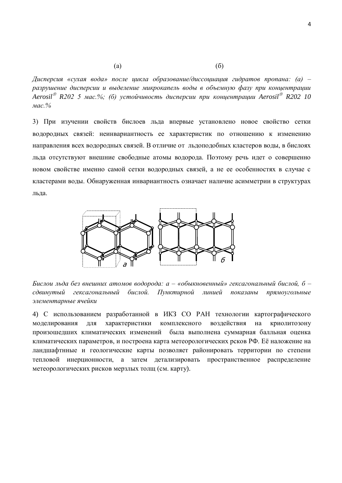$\qquad \qquad \text{(a)}$ 

*Дисперсия «сухая вода» после цикла образование/диссоциация гидратов пропана: (а) – разрушение дисперсии и выделение микрокапель воды в объемную фазу при концентрации Aerosil*<sup>®</sup> R202 5 мас.%; (б) устойчивость дисперсии при концентрации Aerosil<sup>®</sup> R202 10 *мас.%*

3) При изучении свойств бислоев льда впервые установлено новое свойство сетки водородных связей: неинвариантность ее характеристик по отношению к изменению направления всех водородных связей. В отличие от льдоподобных кластеров воды, в бислоях льда отсутствуют внешние свободные атомы водорода. Поэтому речь идет о совершенно новом свойстве именно самой сетки водородных связей, а не ее особенностях в случае с кластерами воды. Обнаруженная инвариантность означает наличие асимметрии в структурах льда.



*Бислои льда без внешних атомов водорода: а – «обыкновенный» гексагональный бислой, б – сдвинутый гексагональный бислой. Пунктирной линией показаны прямоугольные элементарные ячейки*

4) С использованием разработанной в ИКЗ СО РАН технологии картографического моделирования для характеристики комплексного воздействия на криолитозону произошедших климатических изменений была выполнена суммарная балльная оценка климатических параметров, и построена карта метеорологических рсков РФ. Еѐ наложение на ландшафтнные и геологические карты позволяет районировать территории по степени тепловой инерционности, а затем детализировать пространственное распределение метеорологических рисков мерзлых толщ (см. карту).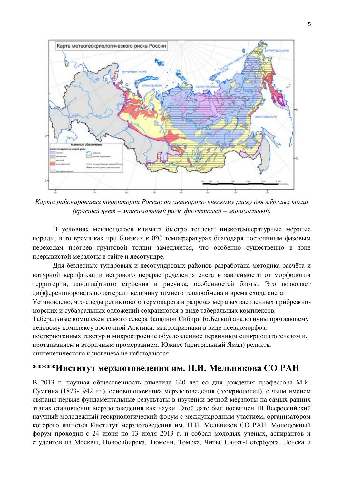

*Карта районирования территории России по метеорологическому риску для мѐрзлых толщ (красный цвет – максимальный риск, фиолетовый – минимальный)*

В условиях меняющегося климата быстро теплеют низкотемпературные мѐрзлые породы, в то время как при близких к 0°С темперературах благодаря постоянным фазовым переходам прогрев грунтовой толщи замедляется, что особенно существенно в зоне прерывистой мерзлоты в тайге и лесотундре.

Для безлесных тундровых и лесотундровых районов разработана методика расчѐта и натурной верификации ветрового перераспределения снега в зависимости от морфологии территории, ландшафтного строения и рисунка, особенностей биоты. Это позволяет дифференциоровать по латерали величину зимнего теплообмена и время схода снега.

Установлено, что следы реликтового термокарста в разрезах мерзлых засоленных прибрежноморских и субаэральных отложений сохраняются в виде таберальных комплексов.

Таберальные комплексы самого севера Западной Сибири (о.Белый) аналогичны протаявшему ледовому комплексу восточной Арктики: макропризнаки в виде псевдоморфоз,

посткриогенных текстур и микростроение обусловленное первичным синкриолитогенезом и, протаиванием и вторичным промерзанием. Южнее (центральный Ямал) реликты сингенетического криогенеза не наблюдаются

## **\*\*\*\*\*Институт мерзлотоведения им. П.И. Мельникова СО РАН**

В 2013 г. научная общественность отметила 140 лет со дня рождения профессора М.И. Сумгина (1873-1942 гг.), основоположника мерзлотоведения (геокриологии), с чьим именем связаны первые фундаментальные результаты в изучении вечной мерзлоты на самых ранних этапах становления мерзлотоведения как науки. Этой дате был посвящен III Всероссийский научный молодежный геокриологический форум с международным участием, организатором которого является Институт мерзлотоведения им. П.И. Мельников СО РАН. Молодежный форум проходил с 24 июня по 13 июля 2013 г. и собрал молодых ученых, аспирантов и студентов из Москвы, Новосибирска, Тюмени, Томска, Читы, Санкт-Петербурга, Ленска и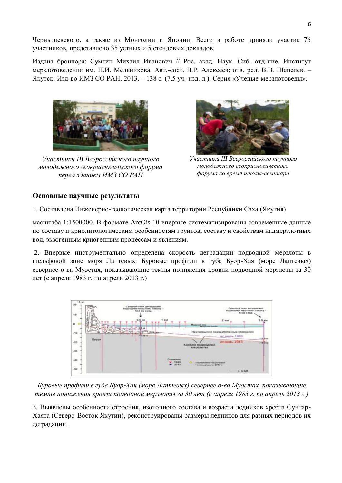Чернышевского, а также из Монголии и Японии. Всего в работе приняли участие 76 участников, представлено 35 устных и 5 стендовых докладов.

Издана брошюра: Сумгин Михаил Иванович // Рос. акад. Наук. Сиб. отд-ние. Институт мерзлотоведения им. П.И. Мельникова. Авт.-сост. В.Р. Алексеев; отв. ред. В.В. Шепелев. – Якутск: Изд-во ИМЗ СО РАН, 2013. – 138 с. (7,5 уч.-изд. л.). Серия «Ученые-мерзлотоведы».



*Участники III Всероссийского научного молодежного геокриологического форума перед зданием ИМЗ СО РАН*



*Участники III Всероссийского научного молодежного геокриологического форума во время школы-семинара*

#### **Основные научные результаты**

1. Составлена Инженерно-геологическая карта территории Республики Саха (Якутия)

масштаба 1:1500000. В формате ArcGis 10 впервые систематизированы современные данные по составу и криолитологическим особенностям грунтов, составу и свойствам надмерзлотных вод, экзогенным криогенным процессам и явлениям.

2. Впервые инструментально определена скорость деградации подводной мерзлоты в шельфовой зоне моря Лаптевых. Буровые профили в губе Буор-Хая (море Лаптевых) севернее о-ва Муостах, показывающие темпы понижения кровли подводной мерзлоты за 30 лет (с апреля 1983 г. по апрель 2013 г.)



*Буровые профили в губе Буор-Хая (море Лаптевых) севернее о-ва Муостах, показывающие темпы понижения кровли подводной мерзлоты за 30 лет (с апреля 1983 г. по апрель 2013 г.)*

3. Выявлены особенности строения, изотопного состава и возраста ледников хребта Сунтар-Хаята (Северо-Восток Якутии), реконструированы размеры ледников для разных периодов их деградации.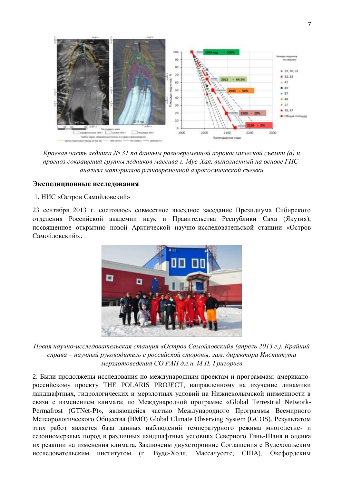

*Краевая часть ледника № 31 по данным разновременной аэрокосмической съемки (а) и прогноз сокращения группы ледников массива г. Мус-Хая, выполненный на основе ГИСанализа материалов разновременной аэрокосмической съемки*

#### **Экспедиционные исследования**

#### 1. НИС «Остров Самойловский»

23 сентября 2013 г. состоялось совместное выездное заседание Президиума Сибирского отделения Российской академии наук и Правительства Республики Саха (Якутия), посвященное открытию новой Арктической научно-исследовательской станции «Остров Самойловский».*.*



*Новая научно-исследовательская станция «Остров Самойловский» (апрель 2013 г.). Крайний справа – научный руководитель с российской стороны, зам. директора Института мерзлотоведения СО РАН д.г.н. М.Н. Григорьев*

2. Были продолжены исследования по международным проектам и программам: американороссийскому проекту THE POLARIS PROJECT, направленному на изучение динамики ландшафтных, гидрологических и мерзлотных условий на Нижнеколымской низменности в связи с изменением климата; по Международной программе «Global Terrestrial Network-Permafrost (GTNet-P)», являющейся частью Международного Программы Всемирного Метеорологического Общества (ВМО) Global Climate Observing System (GCOS). Результатом этих работ является база данных наблюдений температурного режима многолетне- и сезонномерзлых пород в различных ландшафтных условиях Северного Тянь-Шаня и оценка их реакции на изменения климата. Заключены двухсторонние Соглашения с Вудсхолльским исследовательским институтом (г. Вудс-Холл, Массачусетс, США), Оксфордским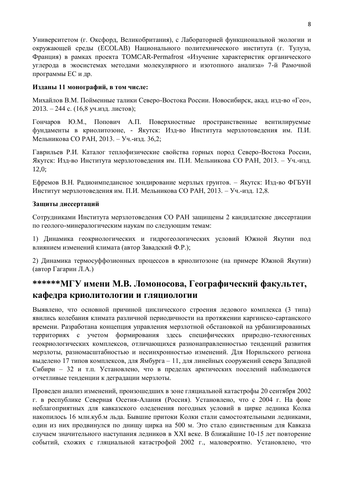Университетом (г. Оксфорд, Великобритания), с Лабораторией функциональной экологии и окружающей среды (ECOLAB) Национального политехнического института (г. Тулуза, Франция) в рамках проекта TOMCAR-Permafrost «Изучение характеристик органического углерода в экосистемах методами молекулярного и изотопного анализа» 7-й Рамочной программы ЕС и др.

### **Изданы 11 монографий, в том числе:**

Михайлов В.М. Пойменные талики Северо-Востока России. Новосибирск, акад. изд-во «Гео», 2013. – 244 с. (16,8 уч.изд. листов);

Гончаров Ю.М., Попович А.П. Поверхностные пространственные вентилируемые фундаменты в криолитозоне, - Якутск: Изд-во Института мерзлотоведения им. П.И. Мельникова СО РАН, 2013. – Уч.-изд. 36,2;

Гаврильев Р.И. Каталог теплофизические свойства горных пород Северо-Востока России, Якутск: Изд-во Института мерзлотоведения им. П.И. Мельникова СО РАН, 2013. – Уч.-изд. 12,0;

Ефремов В.Н. Радиоимпедансное зондирование мерзлых грунтов. – Якутск: Изд-во ФГБУН Институт мерзлотоведения им. П.И. Мельникова СО РАН, 2013. – Уч.-изд. 12,8.

### **Защиты диссертаций**

Сотрудниками Института мерзлотоведения СО РАН защищены 2 кандидатские диссертации по геолого-минералогическим наукам по следующим темам:

1) Динамика геокриологических и гидрогеологических условий Южной Якутии под влиянием изменений климата (автор Завадский Ф.Р.);

2) Динамика термосуффозионных процессов в криолитозоне (на примере Южной Якутии) (автор Гагарин Л.А.)

# **\*\*\*\*\*\*МГУ имени М.В. Ломоносова, Географический факультет, кафедра криолитологии и гляциологии**

Выявлено, что основной причиной циклического строения ледового комплекса (3 типа) явились колебания климата различной периодичности на протяжении каргинско-сартанского времени. Разработана концепция управления мерзлотной обстановкой на урбанизированных территориях с учетом формирования здесь специфических природно-техногенных геокриологических комплексов, отличающихся разнонаправленностью тенденций развития мерзлоты, разномасштабностью и несинхронностью изменений. Для Норильского региона выделено 17 типов комплексов, для Ямбурга – 11, для линейных сооружений севера Западной Сибири – 32 и т.п. Установлено, что в пределах арктических поселений наблюдаются отчетливые тенденции к деградации мерзлоты.

Проведен анализ изменений, произошедших в зоне гляциальной катастрофы 20 сентября 2002 г. в республике Северная Осетия-Алания (Россия). Установлено, что с 2004 г. На фоне неблагоприятных для кавказского оледенения погодных условий в цирке ледника Колка накопилось 16 млн.куб.м льда. Бывшие притоки Колки стали самостоятельными ледниками, один из них продвинулся по днищу цирка на 500 м. Это стало единственным для Кавказа случаем значительного наступания ледников в XXI веке. В ближайшие 10-15 лет повторение событий, схожих с гляциальной катастрофой 2002 г., маловероятно. Установлено, что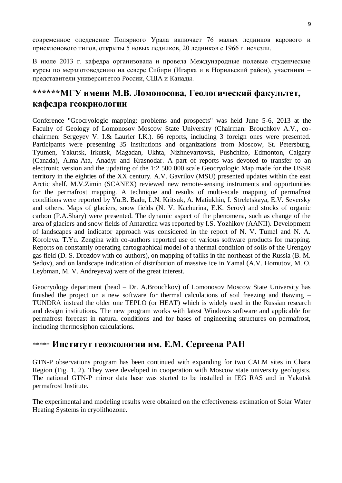современное оледенение Полярного Урала включает 76 малых ледников карового и присклонового типов, открыты 5 новых ледников, 20 ледников с 1966 г. исчезли.

В июле 2013 г. кафедра организовала и провела Международные полевые студенческие курсы по мерзлотоведению на севере Сибири (Игарка и в Норильский район), участники – представители университетов России, США и Канады.

# **\*\*\*\*\*\*МГУ имени М.В. Ломоносова, Геологический факультет, кафедра геокриологии**

Conference "Geocryologic mapping: problems and prospects" was held June 5-6, 2013 at the Faculty of Geology of Lomonosov Moscow State University (Chairman: Brouchkov A.V., cochairmen: Sergeyev V. I.& Laurier I.K.). 66 reports, including 3 foreign ones were presented. Participants were presenting 35 institutions and organizations from Moscow, St. Petersburg, Tyumen, Yakutsk, Irkutsk, Magadan, Ukhta, Nizhnevartovsk, Pushchino, Edmonton, Calgary (Canada), Alma-Ata, Anadyr and Krasnodar. A part of reports was devoted to transfer to an electronic version and the updating of the 1:2 500 000 scale Geocryologic Map made for the USSR territory in the eighties of the XX century. A.V. Gavrilov (MSU) presented updates within the east Arctic shelf. M.V.Zimin (SCANEX) reviewed new remote-sensing instruments and opportunities for the permafrost mapping. A technique and results of multi-scale mapping of permafrost conditions were reported by Yu.B. Badu, L.N. Kritsuk, A. Matiukhin, I. Streletskaya, E.V. Seversky and others. Maps of glaciers, snow fields (N. V. Kachurina, E.K. Serov) and stocks of organic carbon (P.A.Shary) were presented. The dynamic aspect of the phenomena, such as change of the area of glaciers and snow fields of Antarctica was reported by I.S. Yozhikov (AANII). Development of landscapes and indicator approach was considered in the report of N. V. Tumel and N. A. Koroleva. T.Yu. Zengina with co-authors reported use of various software products for mapping. Reports on constantly operating cartographical model of a thermal condition of soils of the Urengoy gas field (D. S. Drozdov with co-authors), on mapping of taliks in the northeast of the Russia (B. M. Sedov), and on landscape indication of distribution of massive ice in Yamal (A.V. Homutov, M. O. Leybman, M. V. Andreyeva) were of the great interest.

Geocryology department (head – Dr. A.Brouchkov) of Lomonosov Moscow State University has finished the project on a new software for thermal calculations of soil freezing and thawing – TUNDRA instead the older one TEPLO (or HEAT) which is widely used in the Russian research and design institutions. The new program works with latest Windows software and applicable for permafrost forecast in natural conditions and for bases of engineering structures on permafrost, including thermosiphon calculations.

# \*\*\*\*\* **Институт геоэкологии им. Е.М. Сергеева РАН**

GTN-P observations program has been continued with expanding for two CALM sites in Chara Region (Fig. 1, 2). They were developed in cooperation with Moscow state university geologists. The national GTN-P mirror data base was started to be installed in IEG RAS and in Yakutsk permafrost Institute.

The experimental and modeling results were obtained on the effectiveness estimation of Solar Water Heating Systems in cryolithozone.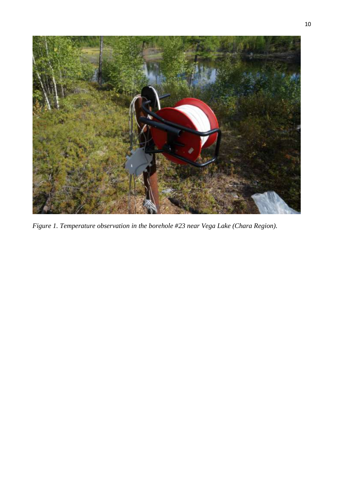

*Figure 1. Temperature observation in the borehole #23 near Vega Lake (Chara Region).*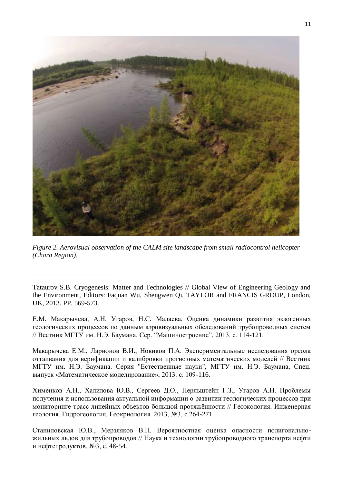

*Figure 2. Aerovisual observation of the CALM site landscape from small radiocontrol helicopter (Chara Region).*

\_\_\_\_\_\_\_\_\_\_\_\_\_\_\_\_\_\_\_\_\_\_\_

Tataurov S.B. Cryogenesis: Matter and Technologies // Global View of Engineering Geology and the Environment, Editors: Faquan Wu, Shengwen Qi. TAYLOR and FRANCIS GROUP, London, UK, 2013. PP. 569-573.

Е.М. Макарычева, А.Н. Угаров, Н.С. Малаева. Оценка динамики развития экзогенных геологических процессов по данным аэровизуальных обследований трубопроводных систем // Вестник МГТУ им. Н.Э. Баумана. Сер. "Машиностроение", 2013. с. 114-121.

Макарычева Е.М., Ларионов В.И., Новиков П.А. Экспериментальные исследования ореола оттаивания для верификации и калибровки прогнозных математических моделей // Вестник МГТУ им. Н.Э. Баумана. Серия "Естественные науки", МГТУ им. Н.Э. Баумана, Спец. выпуск «Математическое моделирование», 2013. c. 109-116.

Хименков А.Н., Халилова Ю.В., Сергеев Д.О., Перльштейн Г.З., Угаров А.Н. Проблемы получения и использования актуальной информации о развитии геологических процессов при мониторинге трасс линейных объектов большой протяжѐнности // Геоэкология. Инженерная геология. Гидрогеология. Геокриология. 2013, №3, с.264-271.

Станиловская Ю.В., Мерзляков В.П. Вероятностная оценка опасности полигональножильных льдов для трубопроводов // Наука и технологии трубопроводного транспорта нефти и нефтепродуктов. №3, с. 48-54.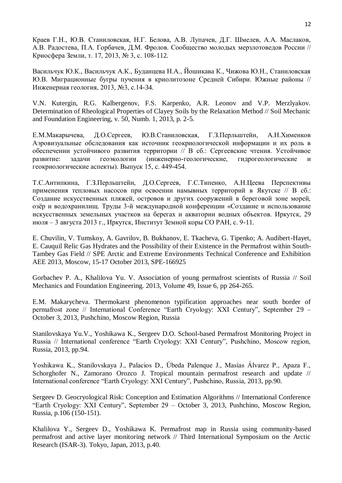Краев Г.Н., Ю.В. Станиловская, Н.Г. Белова, А.В. Лупачев, Д.Г. Шмелев, А.А. Маслаков, А.В. Радостева, П.А. Горбачев, Д.М. Фролов. Сообщество молодых мерзлотоведов России // Криосфера Земли, т. 17, 2013, № 3, c. 108-112.

Васильчук Ю.К., Васильчук А.К., Буданцева Н.А., Йошикава К., Чижова Ю.Н., Станиловская Ю.В. Миграционные бугры пучения в криолитозоне Средней Сибири. Южные районы // Инженерная геология, 2013, №3, с.14-34.

V.N. Kutergin, R.G. Kalbergenov, F.S. Karpenko, A.R. Leonov and V.P. Merzlyakov. Determination of Rheological Properties of Clayey Soils by the Relaxation Method // Soil Mechanic and Foundation Engineering, v. 50, Numb. 1, 2013, p. 2-5.

Е.М.Макарычева, Д.О.Сергеев, Ю.В.Станиловская, Г.З.Перльштейн, А.Н.Хименков Аэровизуальные обследования как источник геокриологической информации и их роль в обеспечении устойчивого развития территории // В сб.: Сергеевские чтения. Устойчивое развитие: задачи геоэкологии (инженерно-геологические, гидрогеологические и геокриологические аспекты). Выпуск 15, с. 449-454.

Т.С.Антипкина, Г.З.Перльштейн, Д.О.Сергеев, Г.С.Типенко, А.Н.Цеева Перспективы применения тепловых насосов при освоении намывных территорий в Якутске // В сб.: Создание искусственных пляжей, островов и других сооружений в береговой зоне морей, озѐр и водохранилищ. Труды 3-й международной конференции «Создание и использование искусственных земельных участков на берегах и акватории водных объектов. Иркутск, 29 июля – 3 августа 2013 г., Иркутск, Институт Земной коры СО РАН, с. 9-11.

E. Chuvilin, V. Tumskoy, A. Gavrilov, B. Bukhanov, E. Tkacheva, G. Tipenko; A. Audibert-Hayet, E. Cauquil Relic Gas Hydrates and the Possibility of their Existence in the Permafrost within South-Tambey Gas Field // SPE Arctic and Extreme Environments Technical Conference and Exhibition AEE 2013, Moscow, 15-17 October 2013, SPE-166925

Gorbachev P. A., Khalilova Yu. V. Association of young permafrost scientists of Russia // Soil Mechanics and Foundation Engineering. 2013, Volume 49, Issue 6, pp 264-265.

E.M. Makarycheva. Thermokarst phenomenon typification approaches near south border of permafrost zone // International Conference "Earth Cryology: XXI Century", September 29 – October 3, 2013, Pushchino, Moscow Region, Russia

Stanilovskaya Yu.V., Yoshikawa K., Sergeev D.O. School-based Permafrost Monitoring Project in Russia // International conference "Earth Cryology: XXI Century", Pushchino, Moscow region, Russia, 2013, pp.94.

Yoshikawa K., Stanilovskaya J., Palacios D., Úbeda Palenque J., Masías Álvarez P., Apaza F., Schorghofer N., Zamorano Orozco J. Tropical mountain permafrost research and update // International conference "Earth Cryology: XXI Century", Pushchino, Russia, 2013, pp.90.

Sergeev D. Geocryological Risk: Conception and Estimation Algorithms // International Conference "Earth Cryology: XXI Century", September 29 – October 3, 2013, Pushchino, Moscow Region, Russia, p.106 (150-151).

Khalilova Y., Sergeev D., Yoshikawa K. Permafrost map in Russia using community-based permafrost and active layer monitoring network // Third International Symposium on the Arctic Research (ISAR-3). Tokyo, Japan, 2013, p.40.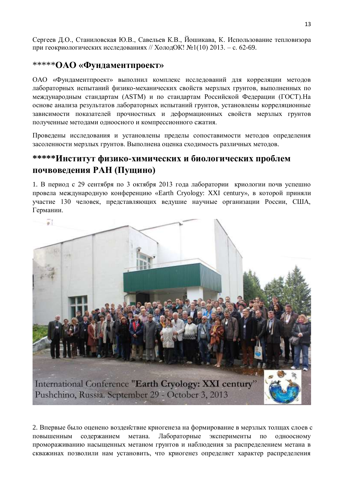Сергеев Д.О., Станиловская Ю.В., Савельев К.В., Йошикава, К. Использование тепловизора при геокриологических исследованиях // ХолодОК! №1(10) 2013. – с. 62-69.

## \*\*\*\*\***ОАО «Фундаментпроект»**

ОАО «Фундаментпроект» выполнил комплекс исследований для корреляции методов лабораторных испытаний физико-механических свойств мерзлых грунтов, выполненных по международным стандартам (ASTM) и по стандартам Российской Федерации (ГОСТ).На основе анализа результатов лабораторных испытаний грунтов, установлены корреляционные зависимости показателей прочностных и деформационных свойств мерзлых грунтов полученные методами одноосного и компрессионного сжатия.

Проведены исследования и установлены пределы сопоставимости методов определения засоленности мерзлых грунтов. Выполнена оценка сходимость различных методов.

# **\*\*\*\*\*Институт физико-химических и биологических проблем почвоведения РАН (Пущино)**

1. В период с 29 сентября по 3 октября 2013 года лаборатории криологии почв успешно провела международную конференцию «Earth Cryology: XXI century», в которой приняли участие 130 человек, представляющих ведушие научные организации России, США, Германии.



2. Впервые было оценено воздействие криогенеза на формирование в мерзлых толщах слоев с повышенным содержанием метана. Лабораторные эксперименты по одноосному промораживанию насыщенных метаном грунтов и наблюдения за распределением метана в скважинах позволили нам установить, что криогенез определяет характер распределения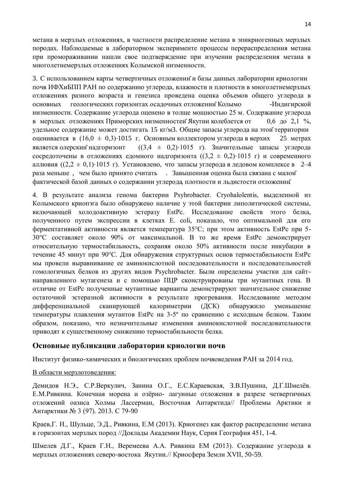метана в мерзлых отложениях, в частности распределение метана в эпикриогенных мерзлых породах. Наблюдаемые в лабораторном эксперименте процессы перераспределения метана при промораживании нашли свое подтверждение при изучении распределения метана в многолетнемерзлых отложениях Колымской низменности.

3. С использованием карты четвертичных отложенийи базы данных лаборатории криологии почв ИФХиБПП РАН по содержанию углерода, влажности и плотности в многолетнемерзлых отложениях разного возраста и генезиса проведена оценка объемов общего углерода в основных геологических горизонтах осадочных отложений Колымо -Индигирской низменности. Содержание углерода оценено в толще мощностью 25 м. Содержание углерода в мерзлых отложениях Приморских низменностейЯкутии колеблется от 0,6 до 2,1 %, удельное содержание может достигать 15 кг/м3. Общие запасы углерода на этойтерритории оценивается в  $(16.0 \pm 0.3) \cdot 1015$  г. Основным коллектором углерода в верхих 25 метрах является олерский надгоризонт  $((3.4 \pm 0.2) \cdot 1015 \text{ r})$ . Значительные запасы углерода сосредоточены в отложениях едомного надгоризонта  $((3,2 \pm 0,2) \cdot 1015 \text{ r})$  и современного аллювия ( $(2,2 \pm 0,1) \cdot 1015$  г). Установлено, что запасы углерода в ледовом комплексе в 2-4 раза меньше , чем было принято считать . Завышенная оценка была связана с малой фактической базой данных о содержании углерода, плотности и льдистости отложении.̆

4. В результате анализа генома бактерии Psyhrobacter. Cryohalolentis, выделенной из Колымского криопэга было обнаружено наличие у этой бактерии липолитической системы, включающей холодоактивную эстеразу EstPc. Исследование свойств этого белка, полученного путем экспрессии в клетках E. coli, показало, что оптимальной для его ферментативной активности является температура 35°С; при этом активность EstPc при 5- 30°С составляет около 90% от максимальной. В то же время EstPc демонстрирует относительную термостабильность, сохраняя около 50% активности после инкубации в течение 45 минут при 90°С. Для обнаружения структурных основ термостабильности EstPc мы провели выравнивание ее аминокислотной последовательности и последовательностей гомологичных белков из других видов Psychrobacter. Были определены участки для сайтнаправленного мутагенеза и с помощью ПЦР сконструированы три мутантных гена. В отличие от EstPc полученные мутантные варианты демонстрируют значительное снижение остаточной эстеразной активности в результате прогревания. Исследование методом дифференциальной сканирующей калориметрии (ДСК) обнаружило уменьшение температуры плавления мутантов EstPc на 3-5º по сравнению с исходным белком. Таким образом, показано, что незначительные изменения аминокислотной последовательности приводят к существенному снижению термостабильности белка.

### **Основные публикации лаборатории криологии почв**

Институт физико-химических и биологических проблем почвоведения РАН за 2014 год.

#### В области мерзлотоведения:

Демидов Н.Э., С.Р.Веркулич, Занина О.Г., Е.С.Караевская, З.В.Пушина, Д.Г.Шмелѐв. Е.М.Ривкина. Конечная морена и озѐрно- лагунные отложения в разрезе четвертичных отложений оазиса Холмы Лассерман, Восточная Антарктида// Проблемы Арктики и Антарктики № 3 (97). 2013. C 79-90

Краев,Г. Н., Шульце, Э.Д., Ривкина, Е.М (2013). Криогенез как фактор распределение метана в горизонтах мерзлых пород //Доклады Академии Наук, Серия География 451, 1-4.

Шмелев Д.Г., Краев Г.Н., Веремеева А.А. Ривкина ЕМ (2013). Содержание углерода в мерзлых отложениях северо-востока Якутии.// Криосфера Земли XVII, 50-59.